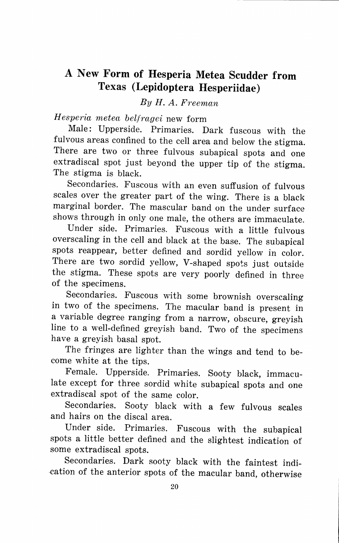## **A New Form of Hesperia Metea Scudder from Texas (Lepidoptera Hesperiidae)**

*By H. A. Freeman* 

*Hesperia metea belfragei* new form

Male: Upperside. Primaries. Dark fuscous with the fulvous areas confined to the cell area and below the stigma. There are two or three fulvous subapical spots and one extradiscal spot just beyond the upper tip of the stigma. The stigma is black.

Secondaries. Fuscous with an even suffusion of fulvous scales over the greater part of the wing. There is a black marginal border. The mascular band on the under surface shows through in only one male, the others are immaculate.

Under side. Primaries. Fuscous with a little fulvous overscaling in the cell and black at the base. The subapical spots reappear, better defined and sordid yellow in color. There are two sordid yellow, V-shaped spots just outside the stigma. These spots are very poorly defined in three of the specimens.

Secondaries. Fuscous with some brownish overscaling in two of the specimens. The macular band is present in a variable degree ranging from a narrow, obscure, greyish line to a well-defined greyish band. Two of the specimens have a greyish basal spot.

The fringes are lighter than the wings and tend to become white at the tips.

Female. Upperside. Primaries. Sooty black, immaculate except **for** three sordid white subapical spots and one extradiscal spot of the same color.

Secondaries. Sooty black with a few fulvous scales and hairs on the discal area.

Under side. Primaries. Fuscous with the subapical spots a little better defined and the slightest indication of some extradiscal spots.

Secondaries. Dark sooty black with the faintest indi cation of the anterior spots of the macular band, otherwise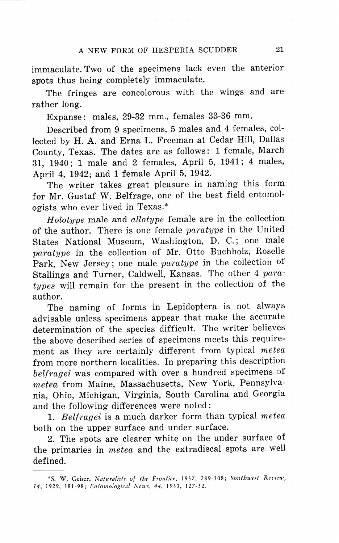immaculate. Two of the specimens lack even the anterior spots thus being completely immaculate.

The fringes are concolorous with the wings and are rather long.

Expanse: males, 29-32 mm., females 33-36 mm.

Described from 9 specimens, 5 males and 4 females, collected by H. A. and Erna L. Freeman at Cedar Hill, Dallas County, Texas. The dates are as follows: 1 female, March 31, 1940; 1 male and 2 females, April 5, 1941; 4 males, April 4, 1942; and 1 female April 5, 1942.

The writer takes great pleasure in naming this form for Mr. Gustaf W. Belfrage, one of the best field entomologists who ever lived in Texas.\*

 $H_{olotype}$  male and  $allotype$  female are in the collection of the author. There is one female paratype in the United States National Museum, Washington, D. C.; one male paratype in the collection of Mr. Otto Buchholz, Roselle Park, New Jersey; one male paratype in the collection of Stallings and Turner, Caldwell, Kansas. The other 4 paratypes will remain for the present in the collection of the author.

The naming of forms in Lepidoptera is not always advisable unless specimens appear that make the accurate determination of the species difficult. The writer believes the above described series of specimens meets this requirement as they are certainly different from typical metea from more northern localities. In preparing this description belfragei was compared with over a hundred specimens of metea from Maine, Massachusetts, New York, Pennsylvania, Ohio, Michigan, Virginia, South Carolina and Georgia and the following differences were noted:

1. Belfragei is a much darker form than typical meted both on the upper surface and under surface.

2. The spots are clearer white on the under surface of the primaries in metea and the extradiscal spots are well defined.

<sup>\*</sup>S. W. Geiser, *Naturalists of the Frontier,* 1937, 289-308; *Southwest Rel'iew, 14,* 1929, 381-98; *E11/01110.'ogical News, 44,* 1933, 127-32.